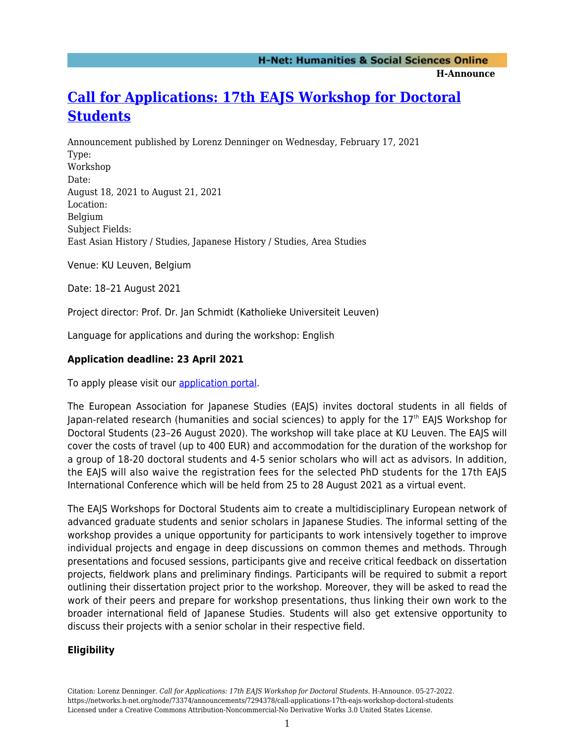**H-Announce** 

# **[Call for Applications: 17th EAJS Workshop for Doctoral](https://networks.h-net.org/node/73374/announcements/7294378/call-applications-17th-eajs-workshop-doctoral-students) [Students](https://networks.h-net.org/node/73374/announcements/7294378/call-applications-17th-eajs-workshop-doctoral-students)**

Announcement published by Lorenz Denninger on Wednesday, February 17, 2021 Type: Workshop Date: August 18, 2021 to August 21, 2021 Location: Belgium Subject Fields: East Asian History / Studies, Japanese History / Studies, Area Studies

Venue: KU Leuven, Belgium

Date: 18–21 August 2021

Project director: Prof. Dr. Jan Schmidt (Katholieke Universiteit Leuven)

Language for applications and during the workshop: English

# **Application deadline: 23 April 2021**

To apply please visit our [application portal](https://www.eajs.eu/index.php?id=797).

The European Association for Japanese Studies (EAJS) invites doctoral students in all fields of Japan-related research (humanities and social sciences) to apply for the 17th EAJS Workshop for Doctoral Students (23–26 August 2020). The workshop will take place at KU Leuven. The EAJS will cover the costs of travel (up to 400 EUR) and accommodation for the duration of the workshop for a group of 18-20 doctoral students and 4-5 senior scholars who will act as advisors. In addition, the EAJS will also waive the registration fees for the selected PhD students for the 17th EAJS International Conference which will be held from 25 to 28 August 2021 as a virtual event.

The EAJS Workshops for Doctoral Students aim to create a multidisciplinary European network of advanced graduate students and senior scholars in Japanese Studies. The informal setting of the workshop provides a unique opportunity for participants to work intensively together to improve individual projects and engage in deep discussions on common themes and methods. Through presentations and focused sessions, participants give and receive critical feedback on dissertation projects, fieldwork plans and preliminary findings. Participants will be required to submit a report outlining their dissertation project prior to the workshop. Moreover, they will be asked to read the work of their peers and prepare for workshop presentations, thus linking their own work to the broader international field of Japanese Studies. Students will also get extensive opportunity to discuss their projects with a senior scholar in their respective field.

# **Eligibility**

Citation: Lorenz Denninger. *Call for Applications: 17th EAJS Workshop for Doctoral Students*. H-Announce. 05-27-2022. https://networks.h-net.org/node/73374/announcements/7294378/call-applications-17th-eajs-workshop-doctoral-students Licensed under a Creative Commons Attribution-Noncommercial-No Derivative Works 3.0 United States License.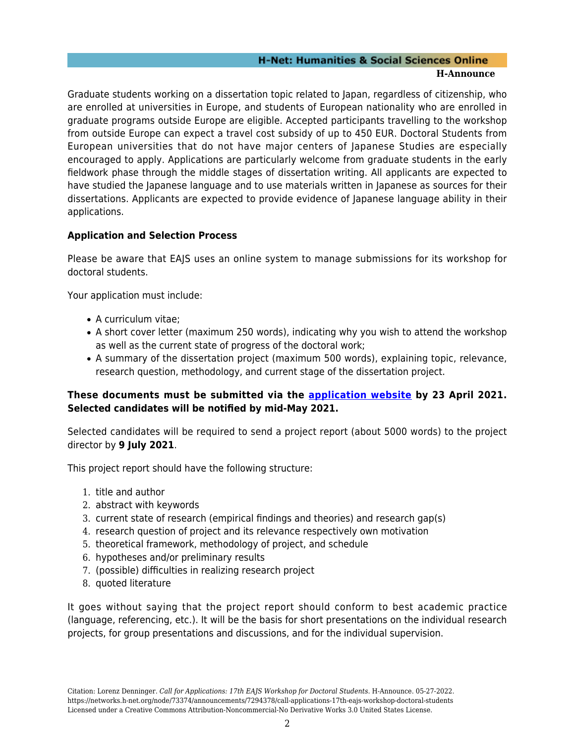#### **H-Net: Humanities & Social Sciences Online H-Announce**

Graduate students working on a dissertation topic related to Japan, regardless of citizenship, who are enrolled at universities in Europe, and students of European nationality who are enrolled in graduate programs outside Europe are eligible. Accepted participants travelling to the workshop from outside Europe can expect a travel cost subsidy of up to 450 EUR. Doctoral Students from European universities that do not have major centers of Japanese Studies are especially encouraged to apply. Applications are particularly welcome from graduate students in the early fieldwork phase through the middle stages of dissertation writing. All applicants are expected to have studied the Japanese language and to use materials written in Japanese as sources for their dissertations. Applicants are expected to provide evidence of Japanese language ability in their applications.

# **Application and Selection Process**

Please be aware that EAJS uses an online system to manage submissions for its workshop for doctoral students.

Your application must include:

- A curriculum vitae;
- A short cover letter (maximum 250 words), indicating why you wish to attend the workshop as well as the current state of progress of the doctoral work;
- A summary of the dissertation project (maximum 500 words), explaining topic, relevance, research question, methodology, and current stage of the dissertation project.

### **These documents must be submitted via the [application website](https://www.eajs.eu/index.php?id=797) by 23 April 2021. Selected candidates will be notified by mid-May 2021.**

Selected candidates will be required to send a project report (about 5000 words) to the project director by **9 July 2021**.

This project report should have the following structure:

- 1. title and author
- 2. abstract with keywords
- 3. current state of research (empirical findings and theories) and research gap(s)
- 4. research question of project and its relevance respectively own motivation
- 5. theoretical framework, methodology of project, and schedule
- 6. hypotheses and/or preliminary results
- 7. (possible) difficulties in realizing research project
- 8. quoted literature

It goes without saying that the project report should conform to best academic practice (language, referencing, etc.). It will be the basis for short presentations on the individual research projects, for group presentations and discussions, and for the individual supervision.